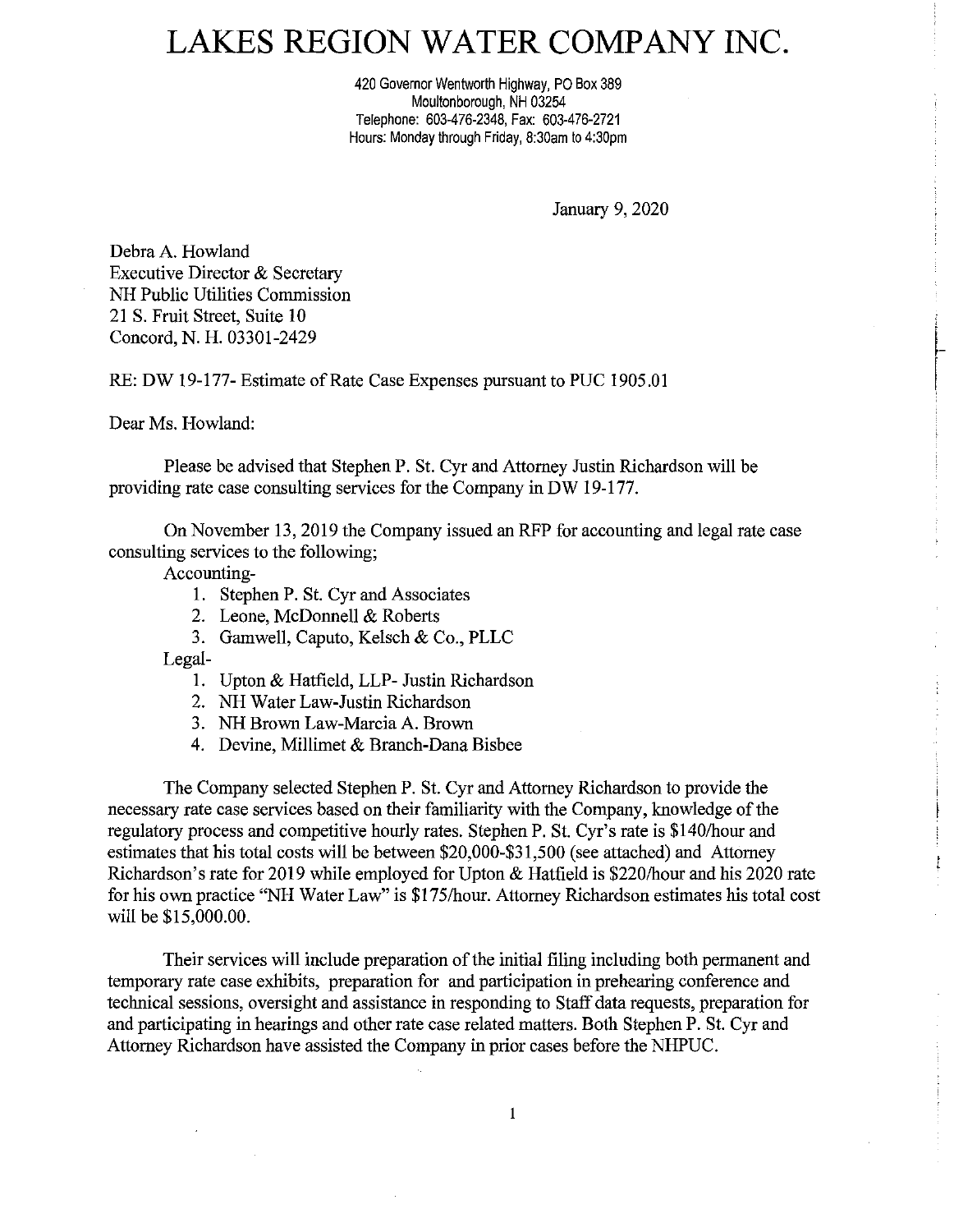## LAKES REGION WATER COMPANY INC.

420 Governor Wentworth Highway, PO Box 389 Moultonborough, NH 03254 Telephone: 603-476-2348, Fax: 603-476-2721 Hours: Monday through Friday, 8:30am to 4:30pm

January 9, 2020

Debra A. Howland Executive Director & Secretary NH Public Utilities Commission 21 S. Fruit Street, Suite 10 Concord, N. H. 03301-2429

RE: DW 19-177- Estimate of Rate Case Expenses pursuant to PUC 1905.01

Dear Ms. Howland:

Please be advised that Stephen P. St. Cyr and Attorney Justin Richardson will be providing rate case consulting services for the Company in DW 19-177.

On November 13, 2019 the Company issued an RFP for accounting and legal rate case consulting services to the following;

Accounting-

- !. Stephen P. St. Cyr and Associates
- 2. Leone, McDonnell & Roberts
- 3. Gamwell, Caputo, Kelsch & Co., PLLC

Legal-

- l. Upton & Hatfield, LLP- Justin Richardson
- 2. NH Water Law-Justin Richardson
- 3. NH Brown Law-Marcia A. Brown
- 4. Devine, Millimet & Branch-Dana Bisbee

The Company selected Stephen P. St. Cyr and Attorney Richardson to provide the necessary rate case services based on their familiarity with the Company, knowledge of the regulatory process and competitive hourly rates. Stephen P. St. Cyr's rate is \$140/hour and estimates that his total costs will be between \$20,000-\$31,500 (see attached) and Attorney Richardson's rate for 2019 while employed for Upton & Hatfield is \$220/hour and his 2020 rate for his own practice "NH Water Law" is \$175/hour. Attorney Richardson estimates his total cost will be \$15,000.00.

Their services will include preparation of the initial filing including both permanent and temporary rate case exhibits, preparation for and participation in prehearing conference and technical sessions, oversight and assistance in responding to Staff data requests, preparation for and participating in hearings and other rate case related matters. Both Stephen P. St. Cyr and Attorney Richardson have assisted the Company in prior cases before the NHPUC.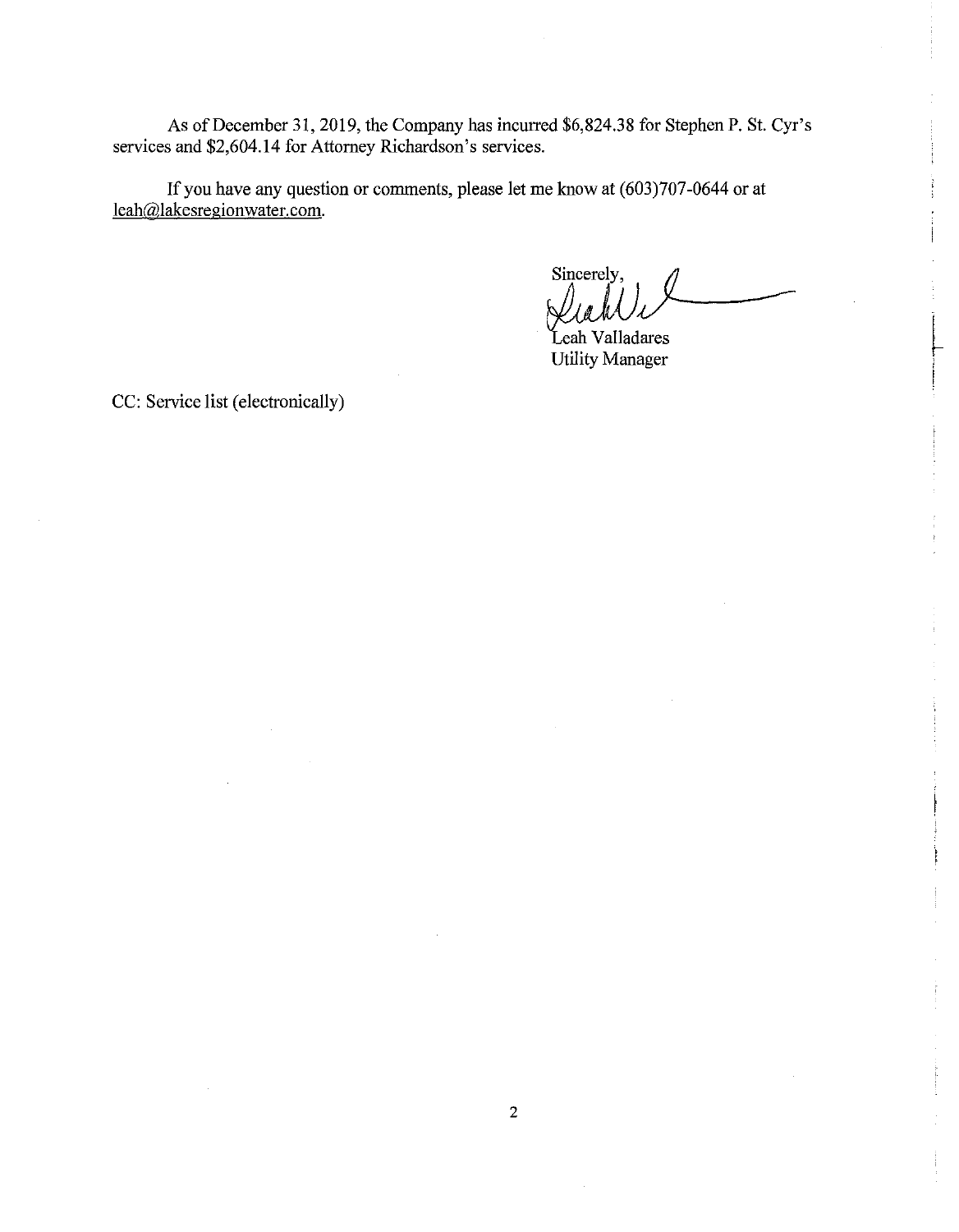As of December 31, 2019, the Company has incurred \$6,824.38 for Stephen P. St. Cyr's services and \$2,604.14 for Attorney Richardson's services.

If you have any question or comments, please let me know at (603)707-0644 or at leah@lakesregionwater.com.

know at (603)707-0644 or at<br>Sincerely,<br> $\iint_{\mathcal{A}} \int_{\mathcal{A}} \int_{\mathcal{A}} \int_{\mathcal{A}}$ 

Leah Valladares Utility Manager

CC: Service list (electronically)